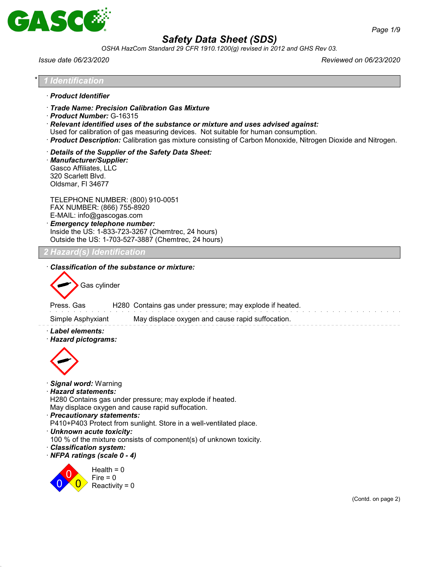

*OSHA HazCom Standard 29 CFR 1910.1200(g) revised in 2012 and GHS Rev 03.*

*Issue date 06/23/2020 Reviewed on 06/23/2020*

|                                                                                              | <b>Identification</b>                                                                                                                                                                                                                                                                                                                         |
|----------------------------------------------------------------------------------------------|-----------------------------------------------------------------------------------------------------------------------------------------------------------------------------------------------------------------------------------------------------------------------------------------------------------------------------------------------|
| · Product Identifier                                                                         |                                                                                                                                                                                                                                                                                                                                               |
| Product Number: G-16315                                                                      | Trade Name: Precision Calibration Gas Mixture<br>$\cdot$ Relevant identified uses of the substance or mixture and uses advised against:<br>Used for calibration of gas measuring devices. Not suitable for human consumption.<br>· Product Description: Calibration gas mixture consisting of Carbon Monoxide, Nitrogen Dioxide and Nitrogen. |
| · Manufacturer/Supplier:<br>Gasco Affiliates, LLC<br>320 Scarlett Blvd.<br>Oldsmar, FI 34677 | Details of the Supplier of the Safety Data Sheet:                                                                                                                                                                                                                                                                                             |
|                                                                                              | TELEPHONE NUMBER: (800) 910-0051<br>FAX NUMBER: (866) 755-8920<br>E-MAIL: info@gascogas.com<br><b>Emergency telephone number:</b><br>Inside the US: 1-833-723-3267 (Chemtrec, 24 hours)<br>Outside the US: 1-703-527-3887 (Chemtrec, 24 hours)                                                                                                |
|                                                                                              | 2 Hazard(s) Identification                                                                                                                                                                                                                                                                                                                    |
| Press. Gas<br>Simple Asphyxiant<br>· Label elements:<br>· Hazard pictograms:                 | H280 Contains gas under pressure; may explode if heated.<br>May displace oxygen and cause rapid suffocation.                                                                                                                                                                                                                                  |
| · Signal word: Warning<br>· Hazard statements:                                               |                                                                                                                                                                                                                                                                                                                                               |
| · Precautionary statements:                                                                  | H280 Contains gas under pressure; may explode if heated.<br>May displace oxygen and cause rapid suffocation.<br>P410+P403 Protect from sunlight. Store in a well-ventilated place.                                                                                                                                                            |
| · Unknown acute toxicity:                                                                    |                                                                                                                                                                                                                                                                                                                                               |
| · Classification system:<br>· NFPA ratings (scale 0 - 4)                                     | 100 % of the mixture consists of component(s) of unknown toxicity.<br>Health = $0$                                                                                                                                                                                                                                                            |
|                                                                                              | $Fire = 0$<br>Reactivity = $0$<br>(Contd. on page 2)                                                                                                                                                                                                                                                                                          |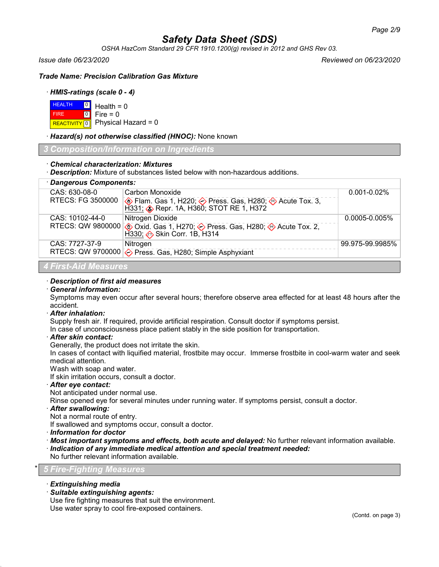*OSHA HazCom Standard 29 CFR 1910.1200(g) revised in 2012 and GHS Rev 03.*

*Issue date 06/23/2020 Reviewed on 06/23/2020*

*Trade Name: Precision Calibration Gas Mixture*

# · *HMIS-ratings (scale 0 - 4)*

| $H = 0$ Health = 0 |                                      |
|--------------------|--------------------------------------|
| <b>FIRE</b>        | $\textcolor{blue}{\bullet}$ Fire = 0 |
|                    | REACTIVITY 0 Physical Hazard = 0     |

· *Hazard(s) not otherwise classified (HNOC):* None known

*3 Composition/Information on Ingredients*

### · *Chemical characterization: Mixtures*

· *Description:* Mixture of substances listed below with non-hazardous additions.

| · Dangerous Components: |                                                                                                         |                    |  |
|-------------------------|---------------------------------------------------------------------------------------------------------|--------------------|--|
| CAS: 630-08-0           | Carbon Monoxide                                                                                         | $0.001 - 0.02\%$   |  |
| RTECS: FG 3500000       | <b>♦ Flam. Gas 1, H220; ◆ Press. Gas, H280; ◆ Acute Tox. 3, H331; ◆ Repr. 1A, H360; STOT RE 1, H372</b> |                    |  |
| CAS: 10102-44-0         | Nitrogen Dioxide                                                                                        | $0.0005 - 0.005\%$ |  |
|                         | RTECS: QW 9800000<br>Acute Tox. 2, Boxid. Gas 1, H270;  Bries Press. Gas, H280;  Skin Corr. 1B, H314    |                    |  |
| CAS: 7727-37-9          | Nitrogen                                                                                                | 99.975-99.9985%    |  |
|                         | RTECS: QW 9700000 $\diamondsuit$ Press. Gas, H280; Simple Asphyxiant                                    |                    |  |
| 4 First-Aid Measures    |                                                                                                         |                    |  |

### · *Description of first aid measures*

· *General information:*

Symptoms may even occur after several hours; therefore observe area effected for at least 48 hours after the accident.

#### · *After inhalation:*

Supply fresh air. If required, provide artificial respiration. Consult doctor if symptoms persist.

In case of unconsciousness place patient stably in the side position for transportation.

· *After skin contact:*

Generally, the product does not irritate the skin.

In cases of contact with liquified material, frostbite may occur. Immerse frostbite in cool-warm water and seek medical attention.

Wash with soap and water.

If skin irritation occurs, consult a doctor.

#### · *After eye contact:*

Not anticipated under normal use.

Rinse opened eye for several minutes under running water. If symptoms persist, consult a doctor.

· *After swallowing:*

Not a normal route of entry.

If swallowed and symptoms occur, consult a doctor.

- · *Information for doctor*
- · *Most important symptoms and effects, both acute and delayed:* No further relevant information available. · *Indication of any immediate medical attention and special treatment needed:*

No further relevant information available.

# \* *5 Fire-Fighting Measures*

- · *Extinguishing media*
- · *Suitable extinguishing agents:*

Use fire fighting measures that suit the environment. Use water spray to cool fire-exposed containers.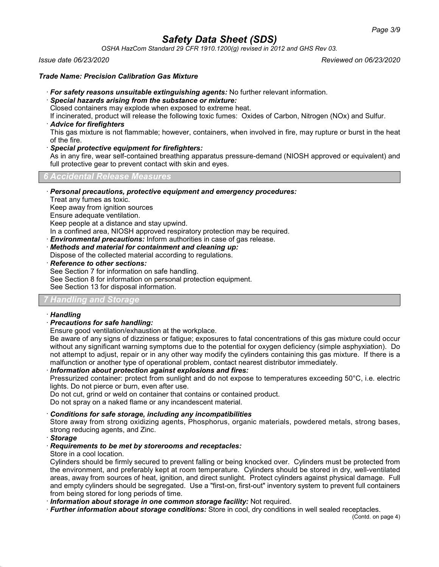*OSHA HazCom Standard 29 CFR 1910.1200(g) revised in 2012 and GHS Rev 03.*

### *Issue date 06/23/2020 Reviewed on 06/23/2020*

# *Trade Name: Precision Calibration Gas Mixture*

- · *For safety reasons unsuitable extinguishing agents:* No further relevant information.
- · *Special hazards arising from the substance or mixture:*

Closed containers may explode when exposed to extreme heat.

If incinerated, product will release the following toxic fumes: Oxides of Carbon, Nitrogen (NOx) and Sulfur.

· *Advice for firefighters*

This gas mixture is not flammable; however, containers, when involved in fire, may rupture or burst in the heat of the fire.

· *Special protective equipment for firefighters:*

As in any fire, wear self-contained breathing apparatus pressure-demand (NIOSH approved or equivalent) and full protective gear to prevent contact with skin and eyes.

*6 Accidental Release Measures*

· *Personal precautions, protective equipment and emergency procedures:*

Treat any fumes as toxic.

Keep away from ignition sources

Ensure adequate ventilation.

Keep people at a distance and stay upwind.

In a confined area, NIOSH approved respiratory protection may be required.

- · *Environmental precautions:* Inform authorities in case of gas release.
- · *Methods and material for containment and cleaning up:*
- Dispose of the collected material according to regulations.
- · *Reference to other sections:*

See Section 7 for information on safe handling.

See Section 8 for information on personal protection equipment.

See Section 13 for disposal information.

# *7 Handling and Storage*

# · *Handling*

· *Precautions for safe handling:*

Ensure good ventilation/exhaustion at the workplace.

Be aware of any signs of dizziness or fatigue; exposures to fatal concentrations of this gas mixture could occur without any significant warning symptoms due to the potential for oxygen deficiency (simple asphyxiation). Do not attempt to adjust, repair or in any other way modify the cylinders containing this gas mixture. If there is a malfunction or another type of operational problem, contact nearest distributor immediately.

· *Information about protection against explosions and fires:*

Pressurized container: protect from sunlight and do not expose to temperatures exceeding 50°C, i.e. electric lights. Do not pierce or burn, even after use.

Do not cut, grind or weld on container that contains or contained product.

Do not spray on a naked flame or any incandescent material.

· *Conditions for safe storage, including any incompatibilities*

Store away from strong oxidizing agents, Phosphorus, organic materials, powdered metals, strong bases, strong reducing agents, and Zinc.

- · *Storage*
- · *Requirements to be met by storerooms and receptacles:*
- Store in a cool location.

Cylinders should be firmly secured to prevent falling or being knocked over. Cylinders must be protected from the environment, and preferably kept at room temperature. Cylinders should be stored in dry, well-ventilated areas, away from sources of heat, ignition, and direct sunlight. Protect cylinders against physical damage. Full and empty cylinders should be segregated. Use a "first-on, first-out" inventory system to prevent full containers from being stored for long periods of time.

· *Information about storage in one common storage facility:* Not required.

· *Further information about storage conditions:* Store in cool, dry conditions in well sealed receptacles.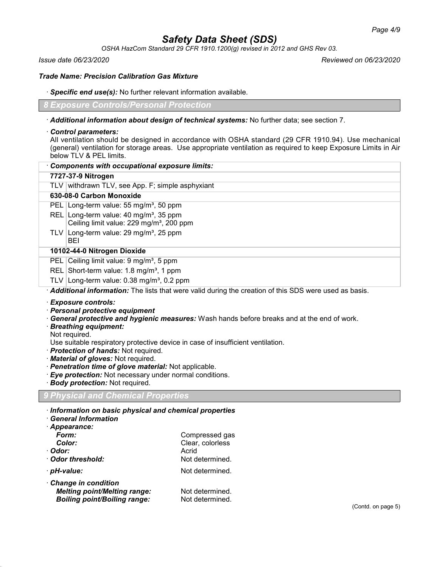*OSHA HazCom Standard 29 CFR 1910.1200(g) revised in 2012 and GHS Rev 03.*

*Issue date 06/23/2020 Reviewed on 06/23/2020*

*Trade Name: Precision Calibration Gas Mixture*

#### · *Specific end use(s):* No further relevant information available.

*8 Exposure Controls/Personal Protection*

- · *Additional information about design of technical systems:* No further data; see section 7.
- · *Control parameters:*

All ventilation should be designed in accordance with OSHA standard (29 CFR 1910.94). Use mechanical (general) ventilation for storage areas. Use appropriate ventilation as required to keep Exposure Limits in Air below TLV & PEL limits.

| Components with occupational exposure limits:                                                                                                                                                                                                                                                                                                                               |
|-----------------------------------------------------------------------------------------------------------------------------------------------------------------------------------------------------------------------------------------------------------------------------------------------------------------------------------------------------------------------------|
| 7727-37-9 Nitrogen                                                                                                                                                                                                                                                                                                                                                          |
| TLV withdrawn TLV, see App. F; simple asphyxiant                                                                                                                                                                                                                                                                                                                            |
| 630-08-0 Carbon Monoxide                                                                                                                                                                                                                                                                                                                                                    |
| PEL Long-term value: 55 mg/m <sup>3</sup> , 50 ppm                                                                                                                                                                                                                                                                                                                          |
| REL Long-term value: 40 mg/m <sup>3</sup> , 35 ppm<br>Ceiling limit value: 229 mg/m <sup>3</sup> , 200 ppm                                                                                                                                                                                                                                                                  |
| TLV Long-term value: 29 mg/m <sup>3</sup> , 25 ppm<br>BEI                                                                                                                                                                                                                                                                                                                   |
| 10102-44-0 Nitrogen Dioxide                                                                                                                                                                                                                                                                                                                                                 |
| PEL Ceiling limit value: 9 mg/m <sup>3</sup> , 5 ppm                                                                                                                                                                                                                                                                                                                        |
| REL Short-term value: 1.8 mg/m <sup>3</sup> , 1 ppm                                                                                                                                                                                                                                                                                                                         |
| TLV Long-term value: $0.38 \text{ mg/m}^3$ , 0.2 ppm                                                                                                                                                                                                                                                                                                                        |
| Additional information: The lists that were valid during the creation of this SDS were used as basis.                                                                                                                                                                                                                                                                       |
| · Exposure controls:<br>· Personal protective equipment<br>· General protective and hygienic measures: Wash hands before breaks and at the end of work.<br>· Breathing equipment:<br>Not required.<br>Use suitable respiratory protective device in case of insufficient ventilation.<br>· <b>Protection of hands:</b> Not required.<br>$M$ otovial of elevese Not roquirod |

- *Material of gloves:* Not required.
- · *Penetration time of glove material:* Not applicable.
- · *Eye protection:* Not necessary under normal conditions.
- · *Body protection:* Not required.

# *9 Physical and Chemical Properties*

- · *Information on basic physical and chemical properties*
- · *General Information*

| · Appearance:                       |                  |
|-------------------------------------|------------------|
| Form:                               | Compressed gas   |
| Color:                              | Clear, colorless |
| ∙ Odor:                             | Acrid            |
| Odor threshold:                     | Not determined.  |
| · pH-value:                         | Not determined.  |
| Change in condition                 |                  |
| <b>Melting point/Melting range:</b> | Not determined.  |

*Boiling point/Boiling range:* Not determined.

(Contd. on page 5)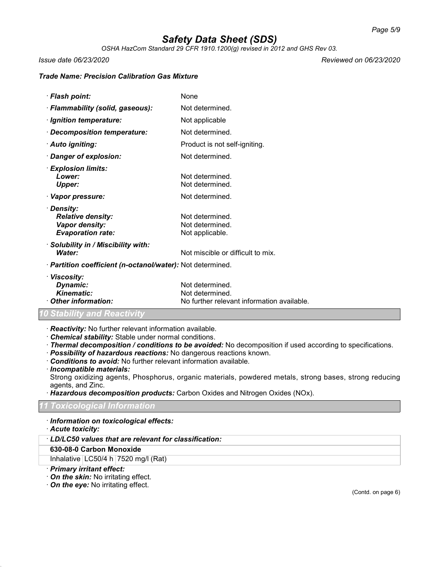*OSHA HazCom Standard 29 CFR 1910.1200(g) revised in 2012 and GHS Rev 03.*

*Issue date 06/23/2020 Reviewed on 06/23/2020*

#### *Trade Name: Precision Calibration Gas Mixture*

· *Flash point:* None · *Flammability (solid, gaseous):* Not determined. *Ignition temperature:* Not applicable · *Decomposition temperature:* Not determined. · **Auto igniting:** example and the Product is not self-igniting. *Danger of explosion:* Not determined. · *Explosion limits:* **Lower:** Not determined.<br> **Upper:** Not determined. Not determined. · Vapor pressure: Not determined. · *Density:* **Relative density:** Not determined. **Vapor density:** Not determined.<br> **Evaporation rate:** Not applicable. *Evaporation rate:* · *Solubility in / Miscibility with:* **Water:** Not miscible or difficult to mix. · *Partition coefficient (n-octanol/water):* Not determined. · *Viscosity:* **Dynamic:** Not determined.

| <i><b>Dynamic:</b></i> | <u>NOI determined.</u>                     |
|------------------------|--------------------------------------------|
| Kinematic:             | Not determined.                            |
| Other information:     | No further relevant information available. |

# *Stability and Reactiv*

- · *Reactivity:* No further relevant information available.
- · *Chemical stability:* Stable under normal conditions.
- · *Thermal decomposition / conditions to be avoided:* No decomposition if used according to specifications.
- · *Possibility of hazardous reactions:* No dangerous reactions known.
- · *Conditions to avoid:* No further relevant information available.

· *Incompatible materials:*

Strong oxidizing agents, Phosphorus, organic materials, powdered metals, strong bases, strong reducing agents, and Zinc.

· *Hazardous decomposition products:* Carbon Oxides and Nitrogen Oxides (NOx).

# *11 Toxicological Information*

- · *Information on toxicological effects:*
- · *Acute toxicity:*
- · *LD/LC50 values that are relevant for classification:*
- **630-08-0 Carbon Monoxide**

Inhalative  $LC50/4 h$  7520 mg/l (Rat)

- · *Primary irritant effect:*
- · *On the skin:* No irritating effect.
- · *On the eye:* No irritating effect.

(Contd. on page 6)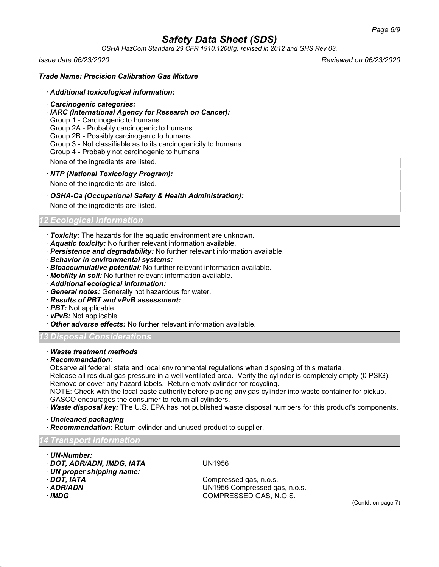*OSHA HazCom Standard 29 CFR 1910.1200(g) revised in 2012 and GHS Rev 03.*

*Issue date 06/23/2020 Reviewed on 06/23/2020*

# *Trade Name: Precision Calibration Gas Mixture*

#### · *Additional toxicological information:*

- · *Carcinogenic categories:*
- · *IARC (International Agency for Research on Cancer):*
- Group 1 Carcinogenic to humans

Group 2A - Probably carcinogenic to humans

Group 2B - Possibly carcinogenic to humans

- Group 3 Not classifiable as to its carcinogenicity to humans
- Group 4 Probably not carcinogenic to humans

None of the ingredients are listed.

# · *NTP (National Toxicology Program):*

None of the ingredients are listed.

### · *OSHA-Ca (Occupational Safety & Health Administration):*

None of the ingredients are listed.

# *12 Ecological Information*

- · *Toxicity:* The hazards for the aquatic environment are unknown.
- · *Aquatic toxicity:* No further relevant information available.
- · *Persistence and degradability:* No further relevant information available.
- · *Behavior in environmental systems:*
- · *Bioaccumulative potential:* No further relevant information available.
- · *Mobility in soil:* No further relevant information available.
- · *Additional ecological information:*
- · *General notes:* Generally not hazardous for water.
- · *Results of PBT and vPvB assessment:*
- · *PBT:* Not applicable.
- · *vPvB:* Not applicable.
- · *Other adverse effects:* No further relevant information available.

# *13 Disposal Considerations*

· *Waste treatment methods*

# · *Recommendation:*

Observe all federal, state and local environmental regulations when disposing of this material.

Release all residual gas pressure in a well ventilated area. Verify the cylinder is completely empty (0 PSIG). Remove or cover any hazard labels. Return empty cylinder for recycling.

NOTE: Check with the local easte authority before placing any gas cylinder into waste container for pickup. GASCO encourages the consumer to return all cylinders.

· *Waste disposal key:* The U.S. EPA has not published waste disposal numbers for this product's components.

# · *Uncleaned packaging*

· *Recommendation:* Return cylinder and unused product to supplier.

# *14 Transport Information*

- · *UN-Number:*
- · *DOT, ADR/ADN, IMDG, IATA* UN1956
- · *UN proper shipping name:*
- 
- 
- 

· *DOT, IATA* Compressed gas, n.o.s. · *ADR/ADN* UN1956 Compressed gas, n.o.s. · *IMDG* COMPRESSED GAS, N.O.S.

(Contd. on page 7)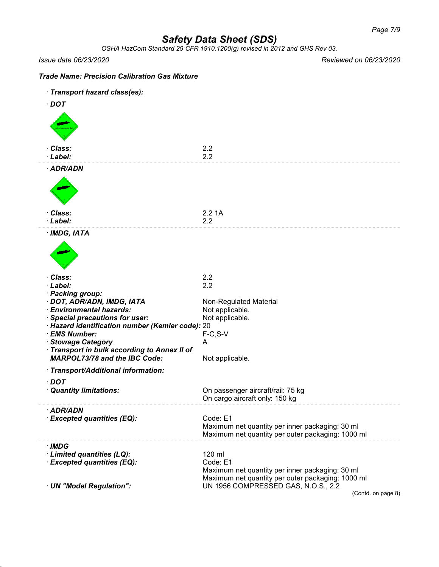*OSHA HazCom Standard 29 CFR 1910.1200(g) revised in 2012 and GHS Rev 03.*

*Issue date 06/23/2020 Reviewed on 06/23/2020*

# *Trade Name: Precision Calibration Gas Mixture* · *Transport hazard class(es):* · *DOT* · *Class:* 2.2 · *Label:* 2.2 · *ADR/ADN* · *Class:* 2.2 1A · *Label:* 2.2 · *IMDG, IATA* · *Class:* 2.2 · *Label:* 2.2 · *Packing group:* · **DOT, ADR/ADN, IMDG, IATA** Non-Regulated Material · *Environmental hazards:* Not applicable. · **Special precautions for user:** Not applicable. · *Hazard identification number (Kemler code):* 20 · *EMS Number:* F-C,S-V **· Stowage Category** A · *Transport in bulk according to Annex II of MARPOL73/78 and the IBC Code:* Not applicable. · *Transport/Additional information:* · *DOT* · *Quantity limitations:* On passenger aircraft/rail: 75 kg On cargo aircraft only: 150 kg · *ADR/ADN* · *Excepted quantities (EQ):* Code: E1 Maximum net quantity per inner packaging: 30 ml Maximum net quantity per outer packaging: 1000 ml · *IMDG* · *Limited quantities (LQ):* 120 ml · *Excepted quantities (EQ):* Code: E1 Maximum net quantity per inner packaging: 30 ml Maximum net quantity per outer packaging: 1000 ml · *UN "Model Regulation":* UN 1956 COMPRESSED GAS, N.O.S., 2.2 (Contd. on page 8)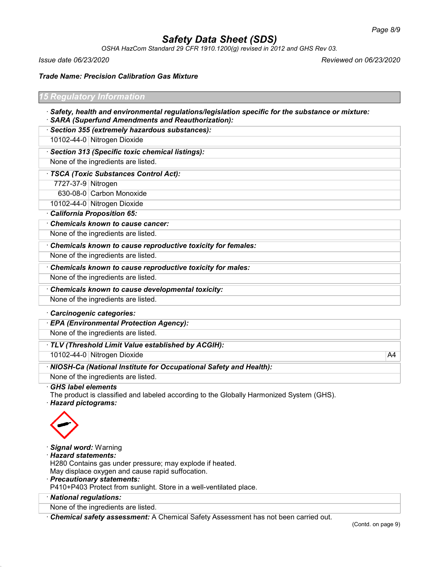*OSHA HazCom Standard 29 CFR 1910.1200(g) revised in 2012 and GHS Rev 03.*

*Issue date 06/23/2020 Reviewed on 06/23/2020*

*Trade Name: Precision Calibration Gas Mixture*

| 15 Regulatory Information                                                                               |  |  |
|---------------------------------------------------------------------------------------------------------|--|--|
| $\cdot$ Safety, health and environmental regulations/legislation specific for the substance or mixture: |  |  |
| · SARA (Superfund Amendments and Reauthorization):                                                      |  |  |

· *Section 355 (extremely hazardous substances):*

10102-44-0 Nitrogen Dioxide

· *Section 313 (Specific toxic chemical listings):*

None of the ingredients are listed.

# · *TSCA (Toxic Substances Control Act):*

7727-37-9 Nitrogen

630-08-0 Carbon Monoxide

10102-44-0 Nitrogen Dioxide

· *California Proposition 65:*

· *Chemicals known to cause cancer:*

None of the ingredients are listed.

· *Chemicals known to cause reproductive toxicity for females:* None of the ingredients are listed.

· *Chemicals known to cause reproductive toxicity for males:*

None of the ingredients are listed.

· *Chemicals known to cause developmental toxicity:*

None of the ingredients are listed.

# · *Carcinogenic categories:*

· *EPA (Environmental Protection Agency):*

None of the ingredients are listed.

· *TLV (Threshold Limit Value established by ACGIH):*

10102-44-0 Nitrogen Dioxide A4

· *NIOSH-Ca (National Institute for Occupational Safety and Health):*

None of the ingredients are listed.

· *GHS label elements*

The product is classified and labeled according to the Globally Harmonized System (GHS). · *Hazard pictograms:*



· *Signal word:* Warning

# · *Hazard statements:*

H280 Contains gas under pressure; may explode if heated.

May displace oxygen and cause rapid suffocation.

· *Precautionary statements:*

P410+P403 Protect from sunlight. Store in a well-ventilated place.

· *National regulations:*

None of the ingredients are listed.

· *Chemical safety assessment:* A Chemical Safety Assessment has not been carried out.